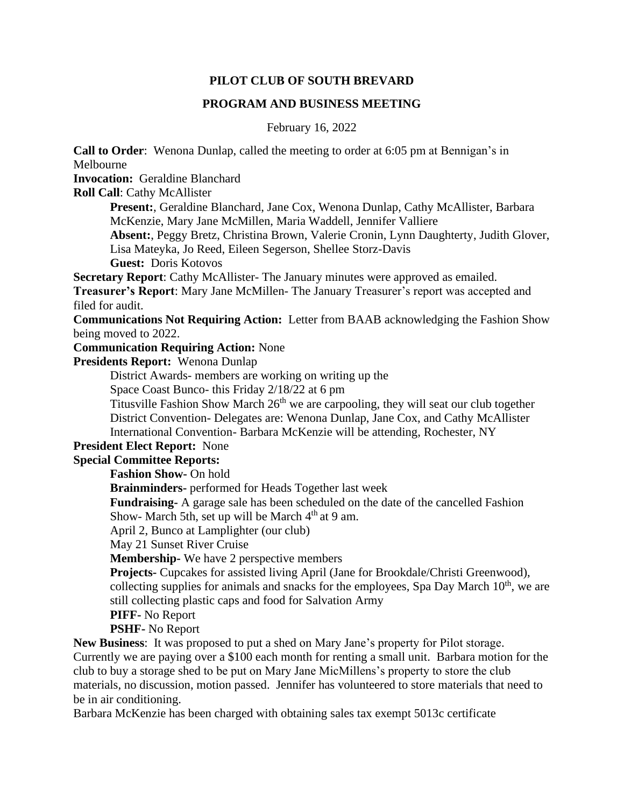#### **PILOT CLUB OF SOUTH BREVARD**

#### **PROGRAM AND BUSINESS MEETING**

February 16, 2022

**Call to Order**: Wenona Dunlap, called the meeting to order at 6:05 pm at Bennigan's in Melbourne

**Invocation:** Geraldine Blanchard

**Roll Call**: Cathy McAllister

**Present:**, Geraldine Blanchard, Jane Cox, Wenona Dunlap, Cathy McAllister, Barbara McKenzie, Mary Jane McMillen, Maria Waddell, Jennifer Valliere

**Absent:**, Peggy Bretz, Christina Brown, Valerie Cronin, Lynn Daughterty, Judith Glover, Lisa Mateyka, Jo Reed, Eileen Segerson, Shellee Storz-Davis

**Guest:** Doris Kotovos

**Secretary Report**: Cathy McAllister- The January minutes were approved as emailed.

**Treasurer's Report**: Mary Jane McMillen- The January Treasurer's report was accepted and filed for audit.

**Communications Not Requiring Action:** Letter from BAAB acknowledging the Fashion Show being moved to 2022.

**Communication Requiring Action:** None

**Presidents Report:** Wenona Dunlap

District Awards- members are working on writing up the

Space Coast Bunco- this Friday 2/18/22 at 6 pm

Titusville Fashion Show March 26<sup>th</sup> we are carpooling, they will seat our club together District Convention- Delegates are: Wenona Dunlap, Jane Cox, and Cathy McAllister International Convention- Barbara McKenzie will be attending, Rochester, NY

#### **President Elect Report:** None

# **Special Committee Reports:**

**Fashion Show-** On hold

**Brainminders-** performed for Heads Together last week

**Fundraising-** A garage sale has been scheduled on the date of the cancelled Fashion

Show- March 5th, set up will be March  $4<sup>th</sup>$  at 9 am.

April 2, Bunco at Lamplighter (our club)

May 21 Sunset River Cruise

**Membership-** We have 2 perspective members

**Projects-** Cupcakes for assisted living April (Jane for Brookdale/Christi Greenwood), collecting supplies for animals and snacks for the employees, Spa Day March  $10<sup>th</sup>$ , we are still collecting plastic caps and food for Salvation Army

**PIFF-** No Report

#### **PSHF-** No Report

**New Business**: It was proposed to put a shed on Mary Jane's property for Pilot storage. Currently we are paying over a \$100 each month for renting a small unit. Barbara motion for the club to buy a storage shed to be put on Mary Jane MicMillens's property to store the club materials, no discussion, motion passed.Jennifer has volunteered to store materials that need to be in air conditioning.

Barbara McKenzie has been charged with obtaining sales tax exempt 5013c certificate